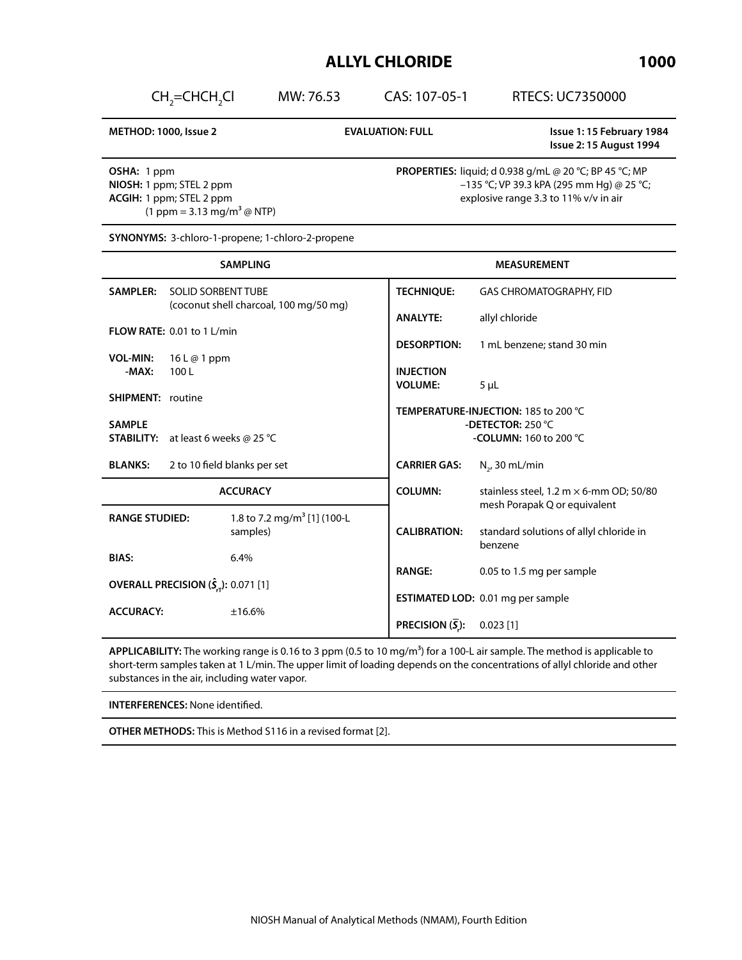MW: 76.53 CAS: 107-05-1 RTECS: UC7350000

**METHOD: 1000, Issue 2 EVALUATION: FULL Issue 1: 15 February 1984 Issue 2: 15 August 1994**

**OSHA:** 1 ppm **NIOSH:** 1 ppm; STEL 2 ppm **ACGIH:** 1 ppm; STEL 2 ppm  $(1 \text{ ppm} = 3.13 \text{ mg/m}^3 \text{ @ NTP})$ 

 $CH_2=CHCH_2$ 

**PROPERTIES:** liquid; d 0.938 g/mL @ 20 °C; BP 45 °C; MP –135 °C; VP 39.3 kPA (295 mm Hg) @ 25 °C; explosive range 3.3 to 11% v/v in air

**SYNONYMS:** 3-chloro-1-propene; 1-chloro-2-propene

| <b>SAMPLING</b>                                                 |                                              | <b>MEASUREMENT</b>                                        |                                                                                |
|-----------------------------------------------------------------|----------------------------------------------|-----------------------------------------------------------|--------------------------------------------------------------------------------|
| <b>SAMPLER:</b>                                                 | <b>SOLID SORBENT TUBE</b>                    | <b>TECHNIQUE:</b>                                         | <b>GAS CHROMATOGRAPHY, FID</b>                                                 |
|                                                                 | (coconut shell charcoal, 100 mg/50 mg)       | <b>ANALYTE:</b>                                           | allyl chloride                                                                 |
| FLOW RATE: 0.01 to 1 L/min                                      |                                              | <b>DESORPTION:</b>                                        | 1 mL benzene; stand 30 min                                                     |
| <b>VOL-MIN:</b>                                                 | $16 \text{ L} \textcircled{a} 1 \text{ ppm}$ |                                                           |                                                                                |
| $-MAX:$                                                         | 100L                                         | <b>INJECTION</b><br><b>VOLUME:</b>                        | $5 \mu L$                                                                      |
| <b>SHIPMENT: routine</b>                                        |                                              |                                                           |                                                                                |
| <b>SAMPLE</b>                                                   |                                              | TEMPERATURE-INJECTION: 185 to 200 °C<br>-DETECTOR: 250 °C |                                                                                |
| STABILITY:                                                      | at least 6 weeks @ 25 °C                     | -COLUMN: 160 to 200 °C                                    |                                                                                |
| <b>BLANKS:</b>                                                  | 2 to 10 field blanks per set                 | <b>CARRIER GAS:</b>                                       | $N_{2}$ , 30 mL/min                                                            |
| <b>ACCURACY</b>                                                 |                                              | <b>COLUMN:</b>                                            | stainless steel, 1.2 m $\times$ 6-mm OD; 50/80<br>mesh Porapak Q or equivalent |
| <b>RANGE STUDIED:</b>                                           | 1.8 to 7.2 mg/m <sup>3</sup> [1] (100-L      |                                                           |                                                                                |
|                                                                 | samples)                                     | <b>CALIBRATION:</b>                                       | standard solutions of allyl chloride in<br>benzene                             |
| <b>BIAS:</b>                                                    | 6.4%                                         |                                                           |                                                                                |
| <b>OVERALL PRECISION <math>(\hat{S}_{rT})</math>: 0.071 [1]</b> |                                              | <b>RANGE:</b>                                             | 0.05 to 1.5 mg per sample                                                      |
|                                                                 |                                              | <b>ESTIMATED LOD:</b> 0.01 mg per sample                  |                                                                                |
| <b>ACCURACY:</b>                                                | ±16.6%                                       | PRECISION $(\overline{S})$ :                              | $0.023$ [1]                                                                    |

**APPLICABILITY:** The working range is 0.16 to 3 ppm (0.5 to 10 mg/m<sup>3</sup>) for a 100-L air sample. The method is applicable to short-term samples taken at 1 L/min. The upper limit of loading depends on the concentrations of allyl chloride and other substances in the air, including water vapor.

**INTERFERENCES:** None identified.

**OTHER METHODS:** This is Method S116 in a revised format [2].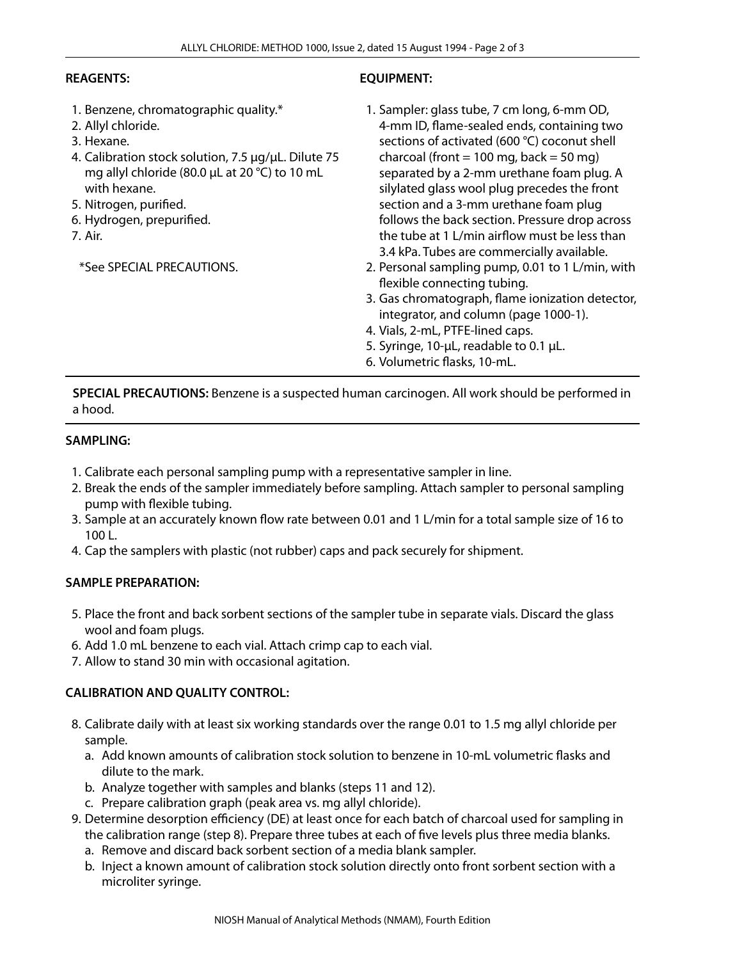## **REAGENTS:**

- 1. Benzene, chromatographic quality.\*
- 2. Allyl chloride.
- 3. Hexane.
- 4. Calibration stock solution, 7.5 µg/µL. Dilute 75 mg allyl chloride (80.0 µL at 20 °C) to 10 mL with hexane.
- 5. Nitrogen, purified.
- 6. Hydrogen, prepurified.
- 7. Air.

\*See SPECIAL PRECAUTIONS.

# **EQUIPMENT:**

- 1. Sampler: glass tube, 7 cm long, 6-mm OD, 4-mm ID, flame-sealed ends, containing two sections of activated (600 °C) coconut shell charcoal (front  $= 100$  mg, back  $= 50$  mg) separated by a 2-mm urethane foam plug. A silylated glass wool plug precedes the front section and a 3-mm urethane foam plug follows the back section. Pressure drop across the tube at 1 L/min airflow must be less than 3.4 kPa. Tubes are commercially available.
- 2. Personal sampling pump, 0.01 to 1 L/min, with flexible connecting tubing.
- 3. Gas chromatograph, flame ionization detector, integrator, and column (page 1000-1).
- 4. Vials, 2-mL, PTFE-lined caps.
- 5. Syringe, 10-µL, readable to 0.1 µL.
- 6. Volumetric flasks, 10-mL.

**SPECIAL PRECAUTIONS:** Benzene is a suspected human carcinogen. All work should be performed in a hood.

# **SAMPLING:**

- 1. Calibrate each personal sampling pump with a representative sampler in line.
- 2. Break the ends of the sampler immediately before sampling. Attach sampler to personal sampling pump with flexible tubing.
- 3. Sample at an accurately known flow rate between 0.01 and 1 L/min for a total sample size of 16 to 100 L.
- 4. Cap the samplers with plastic (not rubber) caps and pack securely for shipment.

# **SAMPLE PREPARATION:**

- 5. Place the front and back sorbent sections of the sampler tube in separate vials. Discard the glass wool and foam plugs.
- 6. Add 1.0 mL benzene to each vial. Attach crimp cap to each vial.
- 7. Allow to stand 30 min with occasional agitation.

# **CALIBRATION AND QUALITY CONTROL:**

- 8. Calibrate daily with at least six working standards over the range 0.01 to 1.5 mg allyl chloride per sample.
	- a. Add known amounts of calibration stock solution to benzene in 10-mL volumetric flasks and dilute to the mark.
	- b. Analyze together with samples and blanks (steps 11 and 12).
	- c. Prepare calibration graph (peak area vs. mg allyl chloride).
- 9. Determine desorption efficiency (DE) at least once for each batch of charcoal used for sampling in the calibration range (step 8). Prepare three tubes at each of five levels plus three media blanks.
	- a. Remove and discard back sorbent section of a media blank sampler.
	- b. Inject a known amount of calibration stock solution directly onto front sorbent section with a microliter syringe.